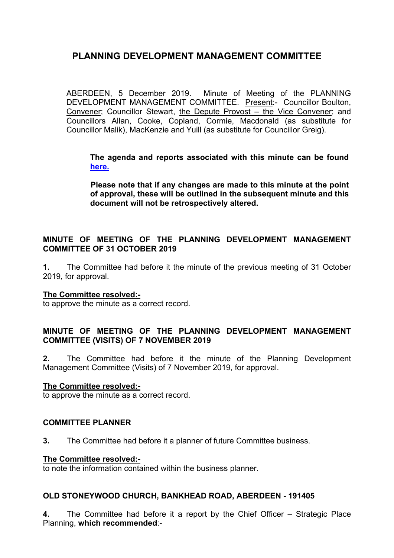ABERDEEN, 5 December 2019. Minute of Meeting of the PLANNING DEVELOPMENT MANAGEMENT COMMITTEE. Present:- Councillor Boulton, Convener; Councillor Stewart, the Depute Provost – the Vice Convener; and Councillors Allan, Cooke, Copland, Cormie, Macdonald (as substitute for Councillor Malik), MacKenzie and Yuill (as substitute for Councillor Greig).

**The agenda and reports associated with this minute can be found [here.](https://committees.aberdeencity.gov.uk/ieListDocuments.aspx?CId=348&MId=6675&Ver=4)**

**Please note that if any changes are made to this minute at the point of approval, these will be outlined in the subsequent minute and this document will not be retrospectively altered.**

## **MINUTE OF MEETING OF THE PLANNING DEVELOPMENT MANAGEMENT COMMITTEE OF 31 OCTOBER 2019**

**1.** The Committee had before it the minute of the previous meeting of 31 October 2019, for approval.

### **The Committee resolved:-**

to approve the minute as a correct record.

## **MINUTE OF MEETING OF THE PLANNING DEVELOPMENT MANAGEMENT COMMITTEE (VISITS) OF 7 NOVEMBER 2019**

**2.** The Committee had before it the minute of the Planning Development Management Committee (Visits) of 7 November 2019, for approval.

### **The Committee resolved:-**

to approve the minute as a correct record.

### **COMMITTEE PLANNER**

**3.** The Committee had before it a planner of future Committee business.

#### **The Committee resolved:-**

to note the information contained within the business planner.

### **OLD STONEYWOOD CHURCH, BANKHEAD ROAD, ABERDEEN - 191405**

**4.** The Committee had before it a report by the Chief Officer – Strategic Place Planning, **which recommended**:-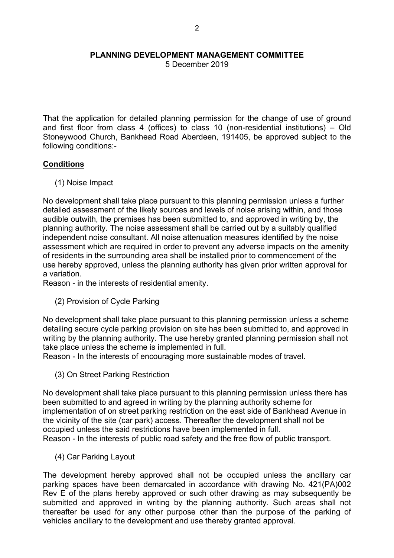5 December 2019

That the application for detailed planning permission for the change of use of ground and first floor from class 4 (offices) to class 10 (non-residential institutions) – Old Stoneywood Church, Bankhead Road Aberdeen, 191405, be approved subject to the following conditions:-

### **Conditions**

(1) Noise Impact

No development shall take place pursuant to this planning permission unless a further detailed assessment of the likely sources and levels of noise arising within, and those audible outwith, the premises has been submitted to, and approved in writing by, the planning authority. The noise assessment shall be carried out by a suitably qualified independent noise consultant. All noise attenuation measures identified by the noise assessment which are required in order to prevent any adverse impacts on the amenity of residents in the surrounding area shall be installed prior to commencement of the use hereby approved, unless the planning authority has given prior written approval for a variation.

Reason - in the interests of residential amenity.

(2) Provision of Cycle Parking

No development shall take place pursuant to this planning permission unless a scheme detailing secure cycle parking provision on site has been submitted to, and approved in writing by the planning authority. The use hereby granted planning permission shall not take place unless the scheme is implemented in full.

Reason - In the interests of encouraging more sustainable modes of travel.

(3) On Street Parking Restriction

No development shall take place pursuant to this planning permission unless there has been submitted to and agreed in writing by the planning authority scheme for implementation of on street parking restriction on the east side of Bankhead Avenue in the vicinity of the site (car park) access. Thereafter the development shall not be occupied unless the said restrictions have been implemented in full. Reason - In the interests of public road safety and the free flow of public transport.

(4) Car Parking Layout

The development hereby approved shall not be occupied unless the ancillary car parking spaces have been demarcated in accordance with drawing No. 421(PA)002 Rev E of the plans hereby approved or such other drawing as may subsequently be submitted and approved in writing by the planning authority. Such areas shall not thereafter be used for any other purpose other than the purpose of the parking of vehicles ancillary to the development and use thereby granted approval.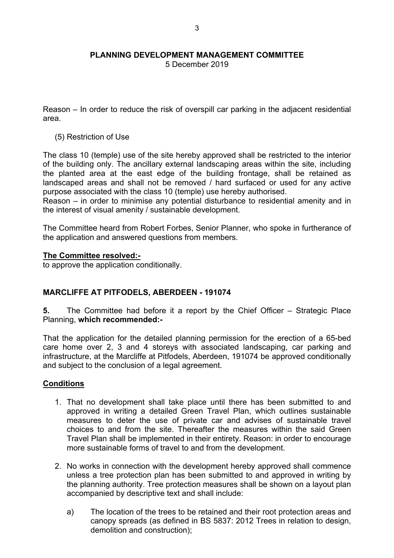5 December 2019

Reason – In order to reduce the risk of overspill car parking in the adjacent residential area.

(5) Restriction of Use

The class 10 (temple) use of the site hereby approved shall be restricted to the interior of the building only. The ancillary external landscaping areas within the site, including the planted area at the east edge of the building frontage, shall be retained as landscaped areas and shall not be removed / hard surfaced or used for any active purpose associated with the class 10 (temple) use hereby authorised.

Reason – in order to minimise any potential disturbance to residential amenity and in the interest of visual amenity / sustainable development.

The Committee heard from Robert Forbes, Senior Planner, who spoke in furtherance of the application and answered questions from members.

### **The Committee resolved:-**

to approve the application conditionally.

# **MARCLIFFE AT PITFODELS, ABERDEEN - 191074**

**5.** The Committee had before it a report by the Chief Officer – Strategic Place Planning, **which recommended:-**

That the application for the detailed planning permission for the erection of a 65-bed care home over 2, 3 and 4 storeys with associated landscaping, car parking and infrastructure, at the Marcliffe at Pitfodels, Aberdeen, 191074 be approved conditionally and subject to the conclusion of a legal agreement.

### **Conditions**

- 1. That no development shall take place until there has been submitted to and approved in writing a detailed Green Travel Plan, which outlines sustainable measures to deter the use of private car and advises of sustainable travel choices to and from the site. Thereafter the measures within the said Green Travel Plan shall be implemented in their entirety. Reason: in order to encourage more sustainable forms of travel to and from the development.
- 2. No works in connection with the development hereby approved shall commence unless a tree protection plan has been submitted to and approved in writing by the planning authority. Tree protection measures shall be shown on a layout plan accompanied by descriptive text and shall include:
	- a) The location of the trees to be retained and their root protection areas and canopy spreads (as defined in BS 5837: 2012 Trees in relation to design, demolition and construction);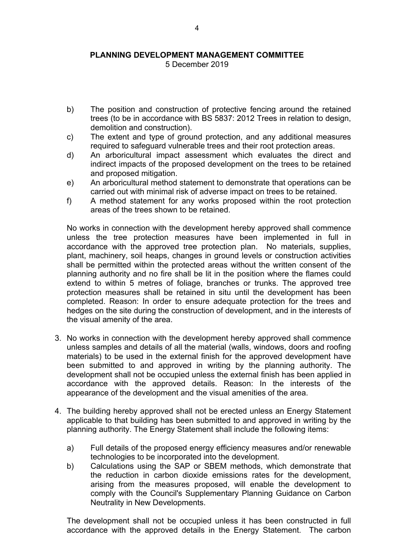#### **PLANNING DEVELOPMENT MANAGEMENT COMMITTEE** 5 December 2019

- b) The position and construction of protective fencing around the retained trees (to be in accordance with BS 5837: 2012 Trees in relation to design, demolition and construction).
- c) The extent and type of ground protection, and any additional measures required to safeguard vulnerable trees and their root protection areas.
- d) An arboricultural impact assessment which evaluates the direct and indirect impacts of the proposed development on the trees to be retained and proposed mitigation.
- e) An arboricultural method statement to demonstrate that operations can be carried out with minimal risk of adverse impact on trees to be retained.
- f) A method statement for any works proposed within the root protection areas of the trees shown to be retained.

No works in connection with the development hereby approved shall commence unless the tree protection measures have been implemented in full in accordance with the approved tree protection plan. No materials, supplies, plant, machinery, soil heaps, changes in ground levels or construction activities shall be permitted within the protected areas without the written consent of the planning authority and no fire shall be lit in the position where the flames could extend to within 5 metres of foliage, branches or trunks. The approved tree protection measures shall be retained in situ until the development has been completed. Reason: In order to ensure adequate protection for the trees and hedges on the site during the construction of development, and in the interests of the visual amenity of the area.

- 3. No works in connection with the development hereby approved shall commence unless samples and details of all the material (walls, windows, doors and roofing materials) to be used in the external finish for the approved development have been submitted to and approved in writing by the planning authority. The development shall not be occupied unless the external finish has been applied in accordance with the approved details. Reason: In the interests of the appearance of the development and the visual amenities of the area.
- 4. The building hereby approved shall not be erected unless an Energy Statement applicable to that building has been submitted to and approved in writing by the planning authority. The Energy Statement shall include the following items:
	- a) Full details of the proposed energy efficiency measures and/or renewable technologies to be incorporated into the development.
	- b) Calculations using the SAP or SBEM methods, which demonstrate that the reduction in carbon dioxide emissions rates for the development, arising from the measures proposed, will enable the development to comply with the Council's Supplementary Planning Guidance on Carbon Neutrality in New Developments.

The development shall not be occupied unless it has been constructed in full accordance with the approved details in the Energy Statement. The carbon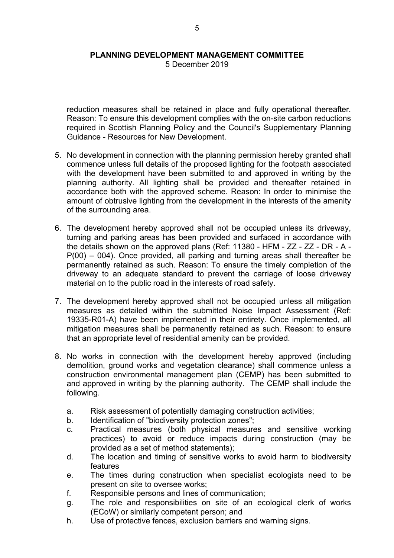#### **PLANNING DEVELOPMENT MANAGEMENT COMMITTEE** 5 December 2019

reduction measures shall be retained in place and fully operational thereafter. Reason: To ensure this development complies with the on-site carbon reductions required in Scottish Planning Policy and the Council's Supplementary Planning Guidance - Resources for New Development.

- 5. No development in connection with the planning permission hereby granted shall commence unless full details of the proposed lighting for the footpath associated with the development have been submitted to and approved in writing by the planning authority. All lighting shall be provided and thereafter retained in accordance both with the approved scheme. Reason: In order to minimise the amount of obtrusive lighting from the development in the interests of the amenity of the surrounding area.
- 6. The development hereby approved shall not be occupied unless its driveway, turning and parking areas has been provided and surfaced in accordance with the details shown on the approved plans (Ref: 11380 - HFM - ZZ - ZZ - DR - A - P(00) – 004). Once provided, all parking and turning areas shall thereafter be permanently retained as such. Reason: To ensure the timely completion of the driveway to an adequate standard to prevent the carriage of loose driveway material on to the public road in the interests of road safety.
- 7. The development hereby approved shall not be occupied unless all mitigation measures as detailed within the submitted Noise Impact Assessment (Ref: 19335-R01-A) have been implemented in their entirety. Once implemented, all mitigation measures shall be permanently retained as such. Reason: to ensure that an appropriate level of residential amenity can be provided.
- 8. No works in connection with the development hereby approved (including demolition, ground works and vegetation clearance) shall commence unless a construction environmental management plan (CEMP) has been submitted to and approved in writing by the planning authority. The CEMP shall include the following.
	- a. Risk assessment of potentially damaging construction activities;
	- b. Identification of "biodiversity protection zones";
	- c. Practical measures (both physical measures and sensitive working practices) to avoid or reduce impacts during construction (may be provided as a set of method statements);
	- d. The location and timing of sensitive works to avoid harm to biodiversity features
	- e. The times during construction when specialist ecologists need to be present on site to oversee works;
	- f. Responsible persons and lines of communication;
	- g. The role and responsibilities on site of an ecological clerk of works (ECoW) or similarly competent person; and
	- h. Use of protective fences, exclusion barriers and warning signs.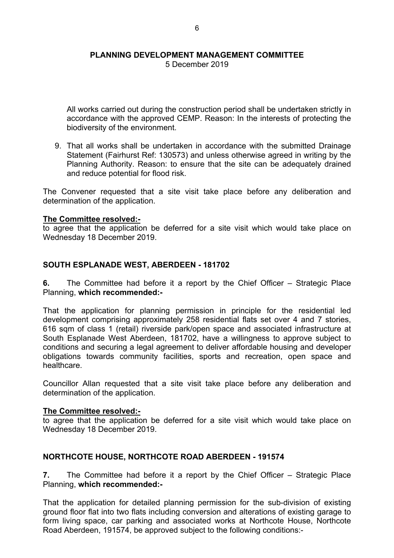5 December 2019

All works carried out during the construction period shall be undertaken strictly in accordance with the approved CEMP. Reason: In the interests of protecting the biodiversity of the environment.

9. That all works shall be undertaken in accordance with the submitted Drainage Statement (Fairhurst Ref: 130573) and unless otherwise agreed in writing by the Planning Authority. Reason: to ensure that the site can be adequately drained and reduce potential for flood risk.

The Convener requested that a site visit take place before any deliberation and determination of the application.

### **The Committee resolved:-**

to agree that the application be deferred for a site visit which would take place on Wednesday 18 December 2019.

### **SOUTH ESPLANADE WEST, ABERDEEN - 181702**

**6.** The Committee had before it a report by the Chief Officer – Strategic Place Planning, **which recommended:-**

That the application for planning permission in principle for the residential led development comprising approximately 258 residential flats set over 4 and 7 stories, 616 sqm of class 1 (retail) riverside park/open space and associated infrastructure at South Esplanade West Aberdeen, 181702, have a willingness to approve subject to conditions and securing a legal agreement to deliver affordable housing and developer obligations towards community facilities, sports and recreation, open space and healthcare.

Councillor Allan requested that a site visit take place before any deliberation and determination of the application.

#### **The Committee resolved:-**

to agree that the application be deferred for a site visit which would take place on Wednesday 18 December 2019.

### **NORTHCOTE HOUSE, NORTHCOTE ROAD ABERDEEN - 191574**

**7.** The Committee had before it a report by the Chief Officer – Strategic Place Planning, **which recommended:-**

That the application for detailed planning permission for the sub-division of existing ground floor flat into two flats including conversion and alterations of existing garage to form living space, car parking and associated works at Northcote House, Northcote Road Aberdeen, 191574, be approved subject to the following conditions:-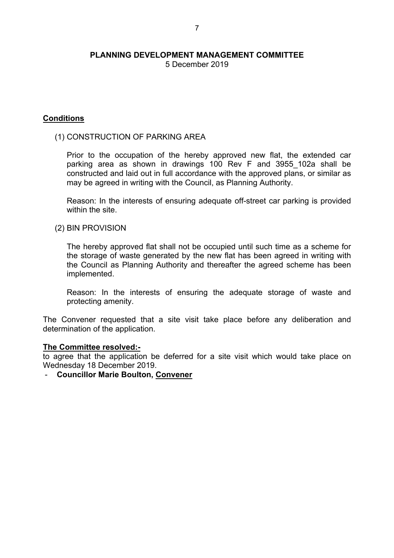5 December 2019

### **Conditions**

### (1) CONSTRUCTION OF PARKING AREA

Prior to the occupation of the hereby approved new flat, the extended car parking area as shown in drawings 100 Rev F and 3955\_102a shall be constructed and laid out in full accordance with the approved plans, or similar as may be agreed in writing with the Council, as Planning Authority.

Reason: In the interests of ensuring adequate off-street car parking is provided within the site.

#### (2) BIN PROVISION

The hereby approved flat shall not be occupied until such time as a scheme for the storage of waste generated by the new flat has been agreed in writing with the Council as Planning Authority and thereafter the agreed scheme has been implemented.

Reason: In the interests of ensuring the adequate storage of waste and protecting amenity.

The Convener requested that a site visit take place before any deliberation and determination of the application.

### **The Committee resolved:-**

to agree that the application be deferred for a site visit which would take place on Wednesday 18 December 2019.

- **Councillor Marie Boulton, Convener**